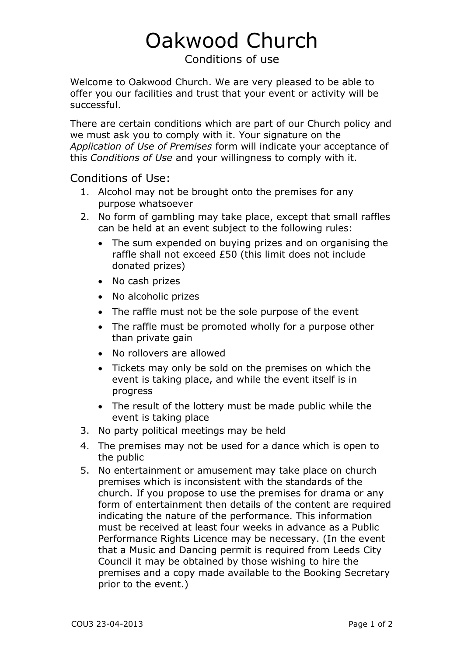## Oakwood Church

Conditions of use

Welcome to Oakwood Church. We are very pleased to be able to offer you our facilities and trust that your event or activity will be successful.

There are certain conditions which are part of our Church policy and we must ask you to comply with it. Your signature on the *Application of Use of Premises* form will indicate your acceptance of this *Conditions of Use* and your willingness to comply with it.

Conditions of Use:

- 1. Alcohol may not be brought onto the premises for any purpose whatsoever
- 2. No form of gambling may take place, except that small raffles can be held at an event subject to the following rules:
	- The sum expended on buying prizes and on organising the raffle shall not exceed £50 (this limit does not include donated prizes)
	- No cash prizes
	- No alcoholic prizes
	- The raffle must not be the sole purpose of the event
	- The raffle must be promoted wholly for a purpose other than private gain
	- No rollovers are allowed
	- Tickets may only be sold on the premises on which the event is taking place, and while the event itself is in progress
	- The result of the lottery must be made public while the event is taking place
- 3. No party political meetings may be held
- 4. The premises may not be used for a dance which is open to the public
- 5. No entertainment or amusement may take place on church premises which is inconsistent with the standards of the church. If you propose to use the premises for drama or any form of entertainment then details of the content are required indicating the nature of the performance. This information must be received at least four weeks in advance as a Public Performance Rights Licence may be necessary. (In the event that a Music and Dancing permit is required from Leeds City Council it may be obtained by those wishing to hire the premises and a copy made available to the Booking Secretary prior to the event.)